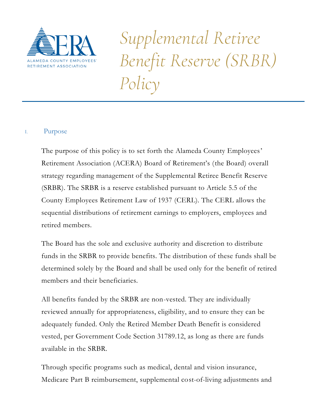

*Supplemental Retiree Benefit Reserve (SRBR) Policy*

# I. Purpose

The purpose of this policy is to set forth the Alameda County Employees' Retirement Association (ACERA) Board of Retirement's (the Board) overall strategy regarding management of the Supplemental Retiree Benefit Reserve (SRBR). The SRBR is a reserve established pursuant to Article 5.5 of the County Employees Retirement Law of 1937 (CERL). The CERL allows the sequential distributions of retirement earnings to employers, employees and retired members.

The Board has the sole and exclusive authority and discretion to distribute funds in the SRBR to provide benefits. The distribution of these funds shall be determined solely by the Board and shall be used only for the benefit of retired members and their beneficiaries.

All benefits funded by the SRBR are non-vested. They are individually reviewed annually for appropriateness, eligibility, and to ensure they can be adequately funded. Only the Retired Member Death Benefit is considered vested, per Government Code Section 31789.12, as long as there are funds available in the SRBR.

Through specific programs such as medical, dental and vision insurance, Medicare Part B reimbursement, supplemental cost-of-living adjustments and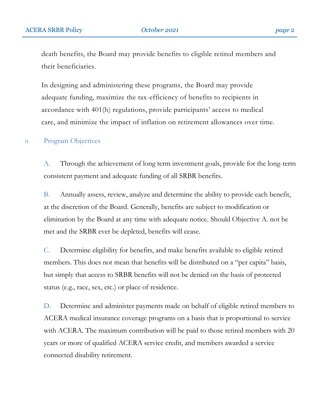death benefits, the Board may provide benefits to eligible retired members and their beneficiaries.

In designing and administering these programs, the Board may provide adequate funding, maximize the tax-efficiency of benefits to recipients in accordance with 401(h) regulations, provide participants' access to medical care, and minimize the impact of inflation on retirement allowances over time.

## II. Program Objectives

A. Through the achievement of long term investment goals, provide for the long-term consistent payment and adequate funding of all SRBR benefits.

B. Annually assess, review, analyze and determine the ability to provide each benefit, at the discretion of the Board. Generally, benefits are subject to modification or elimination by the Board at any time with adequate notice. Should Objective A. not be met and the SRBR ever be depleted, benefits will cease.

C. Determine eligibility for benefits, and make benefits available to eligible retired members. This does not mean that benefits will be distributed on a "per capita" basis, but simply that access to SRBR benefits will not be denied on the basis of protected status (e.g., race, sex, etc.) or place of residence.

D. Determine and administer payments made on behalf of eligible retired members to ACERA medical insurance coverage programs on a basis that is proportional to service with ACERA. The maximum contribution will be paid to those retired members with 20 years or more of qualified ACERA service credit, and members awarded a service connected disability retirement.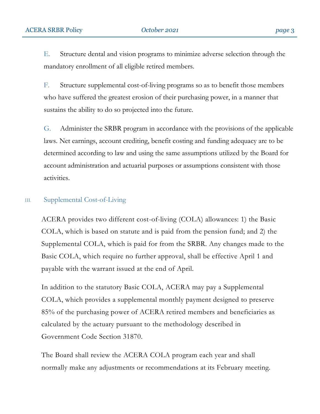E. Structure dental and vision programs to minimize adverse selection through the mandatory enrollment of all eligible retired members.

F. Structure supplemental cost-of-living programs so as to benefit those members who have suffered the greatest erosion of their purchasing power, in a manner that sustains the ability to do so projected into the future.

G. Administer the SRBR program in accordance with the provisions of the applicable laws. Net earnings, account crediting, benefit costing and funding adequacy are to be determined according to law and using the same assumptions utilized by the Board for account administration and actuarial purposes or assumptions consistent with those activities.

## III. Supplemental Cost-of-Living

ACERA provides two different cost-of-living (COLA) allowances: 1) the Basic COLA, which is based on statute and is paid from the pension fund; and 2) the Supplemental COLA, which is paid for from the SRBR. Any changes made to the Basic COLA, which require no further approval, shall be effective April 1 and payable with the warrant issued at the end of April.

In addition to the statutory Basic COLA, ACERA may pay a Supplemental COLA, which provides a supplemental monthly payment designed to preserve 85% of the purchasing power of ACERA retired members and beneficiaries as calculated by the actuary pursuant to the methodology described in Government Code Section 31870.

The Board shall review the ACERA COLA program each year and shall normally make any adjustments or recommendations at its February meeting.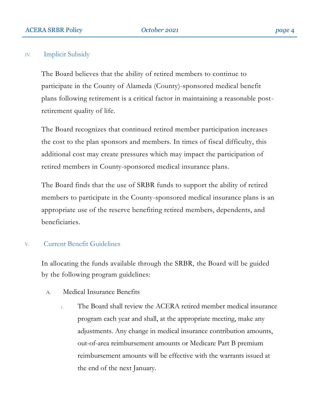## IV. Implicit Subsidy

The Board believes that the ability of retired members to continue to participate in the County of Alameda (County)-sponsored medical benefit plans following retirement is a critical factor in maintaining a reasonable postretirement quality of life.

The Board recognizes that continued retired member participation increases the cost to the plan sponsors and members. In times of fiscal difficulty, this additional cost may create pressures which may impact the participation of retired members in County-sponsored medical insurance plans.

The Board finds that the use of SRBR funds to support the ability of retired members to participate in the County-sponsored medical insurance plans is an appropriate use of the reserve benefiting retired members, dependents, and beneficiaries.

## V. Current Benefit Guidelines

In allocating the funds available through the SRBR, the Board will be guided by the following program guidelines:

- A. Medical Insurance Benefits
	- 1. The Board shall review the ACERA retired member medical insurance program each year and shall, at the appropriate meeting, make any adjustments. Any change in medical insurance contribution amounts, out-of-area reimbursement amounts or Medicare Part B premium reimbursement amounts will be effective with the warrants issued at the end of the next January.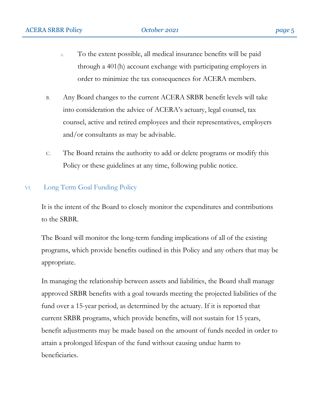- 2. To the extent possible, all medical insurance benefits will be paid through a 401(h) account exchange with participating employers in order to minimize the tax consequences for ACERA members.
- B. Any Board changes to the current ACERA SRBR benefit levels will take into consideration the advice of ACERA's actuary, legal counsel, tax counsel, active and retired employees and their representatives, employers and/or consultants as may be advisable.
- C. The Board retains the authority to add or delete programs or modify this Policy or these guidelines at any time, following public notice.

## VI. Long Term Goal Funding Policy

It is the intent of the Board to closely monitor the expenditures and contributions to the SRBR.

The Board will monitor the long-term funding implications of all of the existing programs, which provide benefits outlined in this Policy and any others that may be appropriate.

In managing the relationship between assets and liabilities, the Board shall manage approved SRBR benefits with a goal towards meeting the projected liabilities of the fund over a 15-year period, as determined by the actuary. If it is reported that current SRBR programs, which provide benefits, will not sustain for 15 years, benefit adjustments may be made based on the amount of funds needed in order to attain a prolonged lifespan of the fund without causing undue harm to beneficiaries.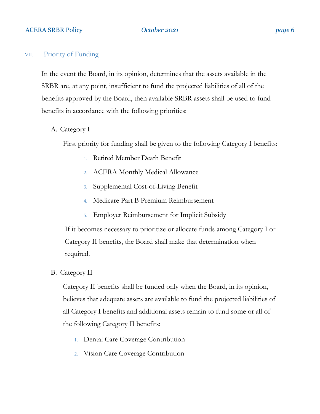#### VII. Priority of Funding

In the event the Board, in its opinion, determines that the assets available in the SRBR are, at any point, insufficient to fund the projected liabilities of all of the benefits approved by the Board, then available SRBR assets shall be used to fund benefits in accordance with the following priorities:

A. Category I

First priority for funding shall be given to the following Category I benefits:

- 1. Retired Member Death Benefit
- 2. ACERA Monthly Medical Allowance
- 3. Supplemental Cost-of-Living Benefit
- 4. Medicare Part B Premium Reimbursement
- 5. Employer Reimbursement for Implicit Subsidy

If it becomes necessary to prioritize or allocate funds among Category I or Category II benefits, the Board shall make that determination when required.

B. Category II

Category II benefits shall be funded only when the Board, in its opinion, believes that adequate assets are available to fund the projected liabilities of all Category I benefits and additional assets remain to fund some or all of the following Category II benefits:

- 1. Dental Care Coverage Contribution
- 2. Vision Care Coverage Contribution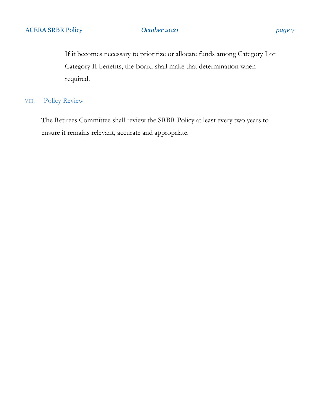If it becomes necessary to prioritize or allocate funds among Category I or Category II benefits, the Board shall make that determination when required.

## VIII. Policy Review

The Retirees Committee shall review the SRBR Policy at least every two years to ensure it remains relevant, accurate and appropriate.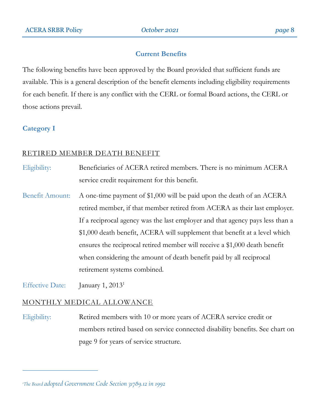## **Current Benefits**

The following benefits have been approved by the Board provided that sufficient funds are available. This is a general description of the benefit elements including eligibility requirements for each benefit. If there is any conflict with the CERL or formal Board actions, the CERL or those actions prevail.

## **Category I**

 $\overline{a}$ 

## RETIRED MEMBER DEATH BENEFIT

Eligibility: Beneficiaries of ACERA retired members. There is no minimum ACERA service credit requirement for this benefit.

Benefit Amount: A one-time payment of \$1,000 will be paid upon the death of an ACERA retired member, if that member retired from ACERA as their last employer. If a reciprocal agency was the last employer and that agency pays less than a \$1,000 death benefit, ACERA will supplement that benefit at a level which ensures the reciprocal retired member will receive a \$1,000 death benefit when considering the amount of death benefit paid by all reciprocal retirement systems combined.

Effective Date: January 1, 2013<sup>1</sup>

## MONTHLY MEDICAL ALLOWANCE

Eligibility: Retired members with 10 or more years of ACERA service credit or members retired based on service connected disability benefits. See chart on page 9 for years of service structure.

*1The Board adopted Government Code Section 31789.12 in 1992*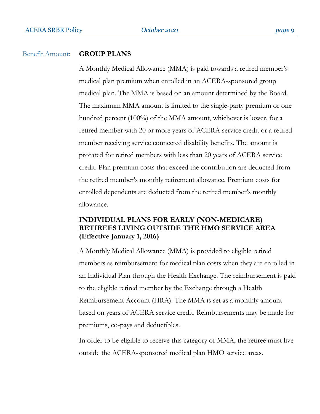#### Benefit Amount: **GROUP PLANS**

A Monthly Medical Allowance (MMA) is paid towards a retired member's medical plan premium when enrolled in an ACERA-sponsored group medical plan. The MMA is based on an amount determined by the Board. The maximum MMA amount is limited to the single-party premium or one hundred percent (100%) of the MMA amount, whichever is lower, for a retired member with 20 or more years of ACERA service credit or a retired member receiving service connected disability benefits. The amount is prorated for retired members with less than 20 years of ACERA service credit. Plan premium costs that exceed the contribution are deducted from the retired member's monthly retirement allowance. Premium costs for enrolled dependents are deducted from the retired member's monthly allowance.

## **INDIVIDUAL PLANS FOR EARLY (NON-MEDICARE) RETIREES LIVING OUTSIDE THE HMO SERVICE AREA (Effective January 1, 2016)**

A Monthly Medical Allowance (MMA) is provided to eligible retired members as reimbursement for medical plan costs when they are enrolled in an Individual Plan through the Health Exchange. The reimbursement is paid to the eligible retired member by the Exchange through a Health Reimbursement Account (HRA). The MMA is set as a monthly amount based on years of ACERA service credit. Reimbursements may be made for premiums, co-pays and deductibles.

In order to be eligible to receive this category of MMA, the retiree must live outside the ACERA-sponsored medical plan HMO service areas.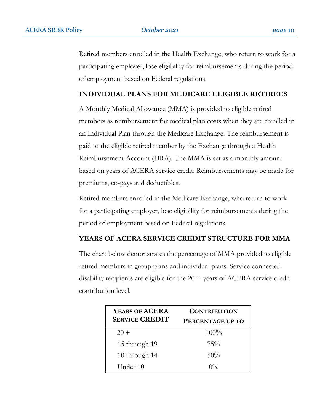Retired members enrolled in the Health Exchange, who return to work for a participating employer, lose eligibility for reimbursements during the period of employment based on Federal regulations.

## **INDIVIDUAL PLANS FOR MEDICARE ELIGIBLE RETIREES**

A Monthly Medical Allowance (MMA) is provided to eligible retired members as reimbursement for medical plan costs when they are enrolled in an Individual Plan through the Medicare Exchange. The reimbursement is paid to the eligible retired member by the Exchange through a Health Reimbursement Account (HRA). The MMA is set as a monthly amount based on years of ACERA service credit. Reimbursements may be made for premiums, co-pays and deductibles.

Retired members enrolled in the Medicare Exchange, who return to work for a participating employer, lose eligibility for reimbursements during the period of employment based on Federal regulations.

## **YEARS OF ACERA SERVICE CREDIT STRUCTURE FOR MMA**

The chart below demonstrates the percentage of MMA provided to eligible retired members in group plans and individual plans. Service connected disability recipients are eligible for the 20 + years of ACERA service credit contribution level.

| YEARS OF ACERA<br><b>SERVICE CREDIT</b> | <b>CONTRIBUTION</b><br>PERCENTAGE UP TO |
|-----------------------------------------|-----------------------------------------|
| $20 +$                                  | $100\%$                                 |
| 15 through 19                           | 75%                                     |
| 10 through 14                           | 50%                                     |
| Under 10                                | $0\%$                                   |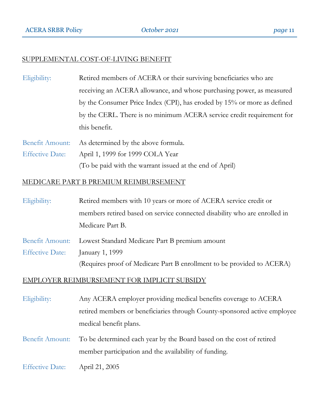## SUPPLEMENTAL COST-OF-LIVING BENEFIT

Eligibility: Retired members of ACERA or their surviving beneficiaries who are receiving an ACERA allowance, and whose purchasing power, as measured by the Consumer Price Index (CPI), has eroded by 15% or more as defined by the CERL. There is no minimum ACERA service credit requirement for this benefit.

Benefit Amount: As determined by the above formula. Effective Date: April 1, 1999 for 1999 COLA Year (To be paid with the warrant issued at the end of April)

#### MEDICARE PART B PREMIUM REIMBURSEMENT

| Eligibility: | Retired members with 10 years or more of ACERA service credit or          |
|--------------|---------------------------------------------------------------------------|
|              | members retired based on service connected disability who are enrolled in |
|              | Medicare Part B.                                                          |
|              |                                                                           |

Benefit Amount: Lowest Standard Medicare Part B premium amount Effective Date: January 1, 1999 (Requires proof of Medicare Part B enrollment to be provided to ACERA)

#### EMPLOYER REIMBURSEMENT FOR IMPLICIT SUBSIDY

| Eligibility:           | Any ACERA employer providing medical benefits coverage to ACERA                                                                               |
|------------------------|-----------------------------------------------------------------------------------------------------------------------------------------------|
|                        | retired members or beneficiaries through County-sponsored active employee                                                                     |
|                        | medical benefit plans.                                                                                                                        |
|                        | Benefit Amount: To be determined each year by the Board based on the cost of retired<br>member participation and the availability of funding. |
| <b>Effective Date:</b> | April 21, 2005                                                                                                                                |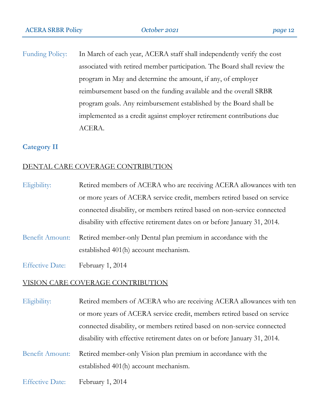Funding Policy: In March of each year, ACERA staff shall independently verify the cost associated with retired member participation. The Board shall review the program in May and determine the amount, if any, of employer reimbursement based on the funding available and the overall SRBR program goals. Any reimbursement established by the Board shall be implemented as a credit against employer retirement contributions due ACERA.

#### **Category II**

## DENTAL CARE COVERAGE CONTRIBUTION

| Eligibility: | Retired members of ACERA who are receiving ACERA allowances with ten      |
|--------------|---------------------------------------------------------------------------|
|              | or more years of ACERA service credit, members retired based on service   |
|              | connected disability, or members retired based on non-service connected   |
|              | disability with effective retirement dates on or before January 31, 2014. |

- Benefit Amount: Retired member-only Dental plan premium in accordance with the established 401(h) account mechanism.
- Effective Date: February 1, 2014

#### VISION CARE COVERAGE CONTRIBUTION

Eligibility: Retired members of ACERA who are receiving ACERA allowances with ten or more years of ACERA service credit, members retired based on service connected disability, or members retired based on non-service connected disability with effective retirement dates on or before January 31, 2014.

Benefit Amount: Retired member-only Vision plan premium in accordance with the established 401(h) account mechanism.

Effective Date: February 1, 2014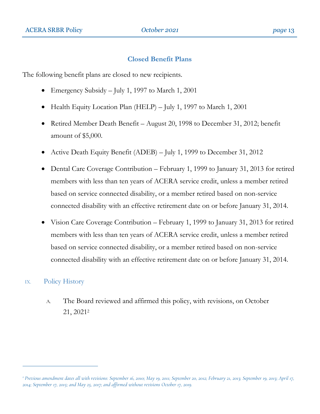#### **Closed Benefit Plans**

The following benefit plans are closed to new recipients.

- Emergency Subsidy July 1, 1997 to March 1, 2001
- Health Equity Location Plan (HELP) July 1, 1997 to March 1, 2001
- Retired Member Death Benefit August 20, 1998 to December 31, 2012; benefit amount of \$5,000.
- Active Death Equity Benefit (ADEB) July 1, 1999 to December 31, 2012
- Dental Care Coverage Contribution February 1, 1999 to January 31, 2013 for retired members with less than ten years of ACERA service credit, unless a member retired based on service connected disability, or a member retired based on non-service connected disability with an effective retirement date on or before January 31, 2014.
- Vision Care Coverage Contribution February 1, 1999 to January 31, 2013 for retired members with less than ten years of ACERA service credit, unless a member retired based on service connected disability, or a member retired based on non-service connected disability with an effective retirement date on or before January 31, 2014.

## IX. Policy History

 $\overline{a}$ 

A. The Board reviewed and affirmed this policy, with revisions, on October 21, 2021<sup>2</sup>

*<sup>2</sup> Previous amendment dates all with revisions: September 16, 2010; May 19, 2011; September 20, 2012; February 21, 2013; September 19, 2013; April 17, 2014; September 17, 2015; and May 25, 2017; and affirmed without revisions October 17, 2019.*